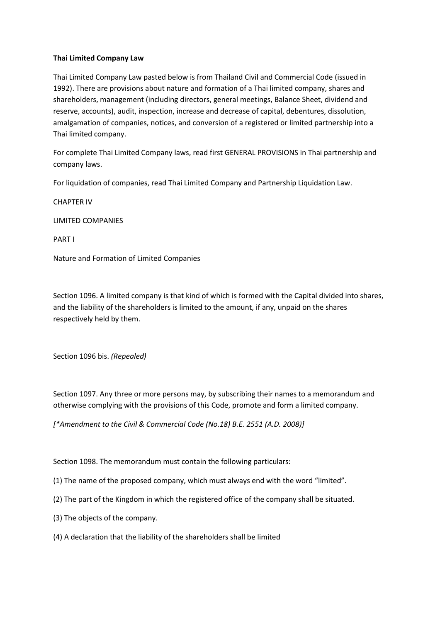## **Thai Limited Company Law**

Thai Limited Company Law pasted below is from Thailand Civil and Commercial Code (issued in 1992). There are provisions about nature and formation of a Thai limited company, shares and shareholders, management (including directors, general meetings, Balance Sheet, dividend and reserve, accounts), audit, inspection, increase and decrease of capital, debentures, dissolution, amalgamation of companies, notices, and conversion of a registered or limited partnership into a Thai limited company.

For complete Thai Limited Company laws, read first GENERAL PROVISIONS in Thai partnership and company laws.

For liquidation of companies, read Thai Limited Company and Partnership Liquidation Law.

CHAPTER IV

LIMITED COMPANIES

PART I

Nature and Formation of Limited Companies

Section 1096. A limited company is that kind of which is formed with the Capital divided into shares, and the liability of the shareholders is limited to the amount, if any, unpaid on the shares respectively held by them.

Section 1096 bis. *(Repealed)*

Section 1097. Any three or more persons may, by subscribing their names to a memorandum and otherwise complying with the provisions of this Code, promote and form a limited company.

*[\*Amendment to the Civil & Commercial Code (No.18) B.E. 2551 (A.D. 2008)]*

Section 1098. The memorandum must contain the following particulars:

(1) The name of the proposed company, which must always end with the word "limited".

(2) The part of the Kingdom in which the registered office of the company shall be situated.

(3) The objects of the company.

(4) A declaration that the liability of the shareholders shall be limited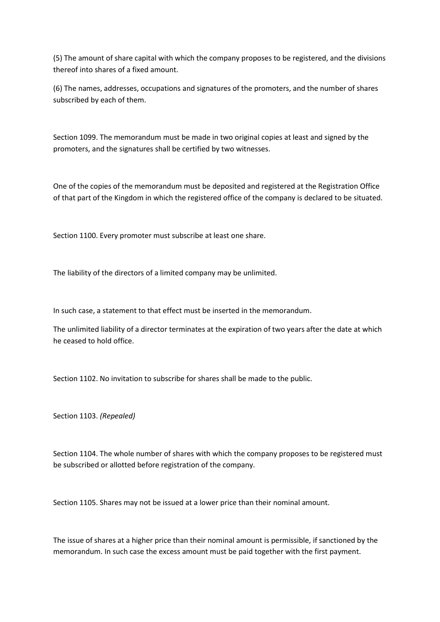(5) The amount of share capital with which the company proposes to be registered, and the divisions thereof into shares of a fixed amount.

(6) The names, addresses, occupations and signatures of the promoters, and the number of shares subscribed by each of them.

Section 1099. The memorandum must be made in two original copies at least and signed by the promoters, and the signatures shall be certified by two witnesses.

One of the copies of the memorandum must be deposited and registered at the Registration Office of that part of the Kingdom in which the registered office of the company is declared to be situated.

Section 1100. Every promoter must subscribe at least one share.

The liability of the directors of a limited company may be unlimited.

In such case, a statement to that effect must be inserted in the memorandum.

The unlimited liability of a director terminates at the expiration of two years after the date at which he ceased to hold office.

Section 1102. No invitation to subscribe for shares shall be made to the public.

Section 1103. *(Repealed)*

Section 1104. The whole number of shares with which the company proposes to be registered must be subscribed or allotted before registration of the company.

Section 1105. Shares may not be issued at a lower price than their nominal amount.

The issue of shares at a higher price than their nominal amount is permissible, if sanctioned by the memorandum. In such case the excess amount must be paid together with the first payment.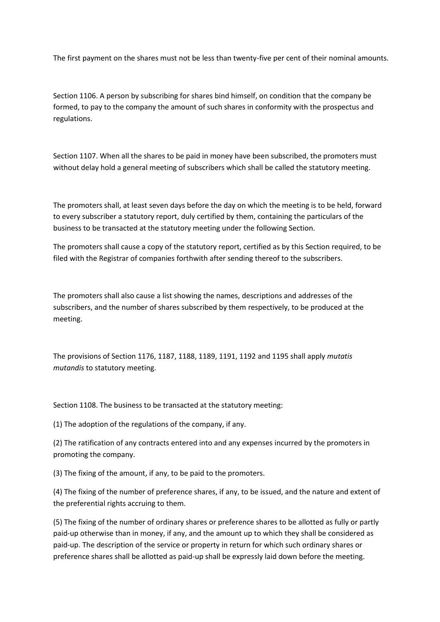The first payment on the shares must not be less than twenty-five per cent of their nominal amounts.

Section 1106. A person by subscribing for shares bind himself, on condition that the company be formed, to pay to the company the amount of such shares in conformity with the prospectus and regulations.

Section 1107. When all the shares to be paid in money have been subscribed, the promoters must without delay hold a general meeting of subscribers which shall be called the statutory meeting.

The promoters shall, at least seven days before the day on which the meeting is to be held, forward to every subscriber a statutory report, duly certified by them, containing the particulars of the business to be transacted at the statutory meeting under the following Section.

The promoters shall cause a copy of the statutory report, certified as by this Section required, to be filed with the Registrar of companies forthwith after sending thereof to the subscribers.

The promoters shall also cause a list showing the names, descriptions and addresses of the subscribers, and the number of shares subscribed by them respectively, to be produced at the meeting.

The provisions of Section 1176, 1187, 1188, 1189, 1191, 1192 and 1195 shall apply *mutatis mutandis* to statutory meeting.

Section 1108. The business to be transacted at the statutory meeting:

(1) The adoption of the regulations of the company, if any.

(2) The ratification of any contracts entered into and any expenses incurred by the promoters in promoting the company.

(3) The fixing of the amount, if any, to be paid to the promoters.

(4) The fixing of the number of preference shares, if any, to be issued, and the nature and extent of the preferential rights accruing to them.

(5) The fixing of the number of ordinary shares or preference shares to be allotted as fully or partly paid-up otherwise than in money, if any, and the amount up to which they shall be considered as paid-up. The description of the service or property in return for which such ordinary shares or preference shares shall be allotted as paid-up shall be expressly laid down before the meeting.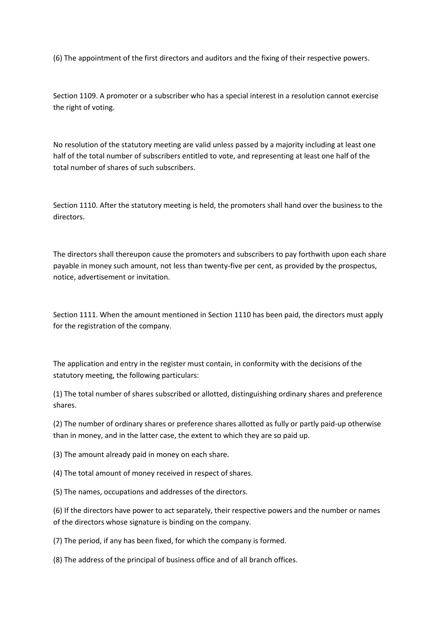(6) The appointment of the first directors and auditors and the fixing of their respective powers.

Section 1109. A promoter or a subscriber who has a special interest in a resolution cannot exercise the right of voting.

No resolution of the statutory meeting are valid unless passed by a majority including at least one half of the total number of subscribers entitled to vote, and representing at least one half of the total number of shares of such subscribers.

Section 1110. After the statutory meeting is held, the promoters shall hand over the business to the directors.

The directors shall thereupon cause the promoters and subscribers to pay forthwith upon each share payable in money such amount, not less than twenty-five per cent, as provided by the prospectus, notice, advertisement or invitation.

Section 1111. When the amount mentioned in Section 1110 has been paid, the directors must apply for the registration of the company.

The application and entry in the register must contain, in conformity with the decisions of the statutory meeting, the following particulars:

(1) The total number of shares subscribed or allotted, distinguishing ordinary shares and preference shares.

(2) The number of ordinary shares or preference shares allotted as fully or partly paid-up otherwise than in money, and in the latter case, the extent to which they are so paid up.

(3) The amount already paid in money on each share.

- (4) The total amount of money received in respect of shares.
- (5) The names, occupations and addresses of the directors.

(6) If the directors have power to act separately, their respective powers and the number or names of the directors whose signature is binding on the company.

(7) The period, if any has been fixed, for which the company is formed.

(8) The address of the principal of business office and of all branch offices.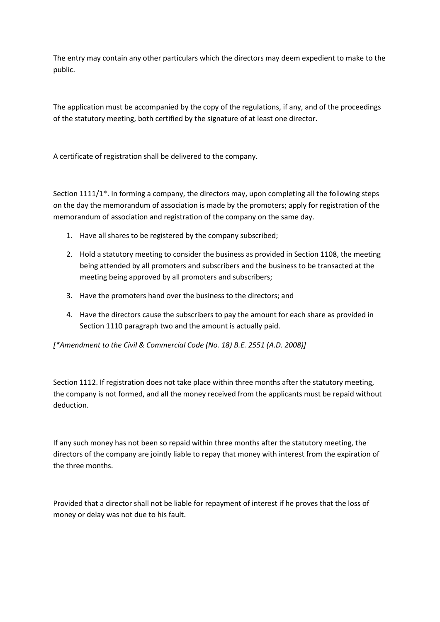The entry may contain any other particulars which the directors may deem expedient to make to the public.

The application must be accompanied by the copy of the regulations, if any, and of the proceedings of the statutory meeting, both certified by the signature of at least one director.

A certificate of registration shall be delivered to the company.

Section 1111/1\*. In forming a company, the directors may, upon completing all the following steps on the day the memorandum of association is made by the promoters; apply for registration of the memorandum of association and registration of the company on the same day.

- 1. Have all shares to be registered by the company subscribed;
- 2. Hold a statutory meeting to consider the business as provided in Section 1108, the meeting being attended by all promoters and subscribers and the business to be transacted at the meeting being approved by all promoters and subscribers;
- 3. Have the promoters hand over the business to the directors; and
- 4. Have the directors cause the subscribers to pay the amount for each share as provided in Section 1110 paragraph two and the amount is actually paid.

*[\*Amendment to the Civil & Commercial Code (No. 18) B.E. 2551 (A.D. 2008)]*

Section 1112. If registration does not take place within three months after the statutory meeting, the company is not formed, and all the money received from the applicants must be repaid without deduction.

If any such money has not been so repaid within three months after the statutory meeting, the directors of the company are jointly liable to repay that money with interest from the expiration of the three months.

Provided that a director shall not be liable for repayment of interest if he proves that the loss of money or delay was not due to his fault.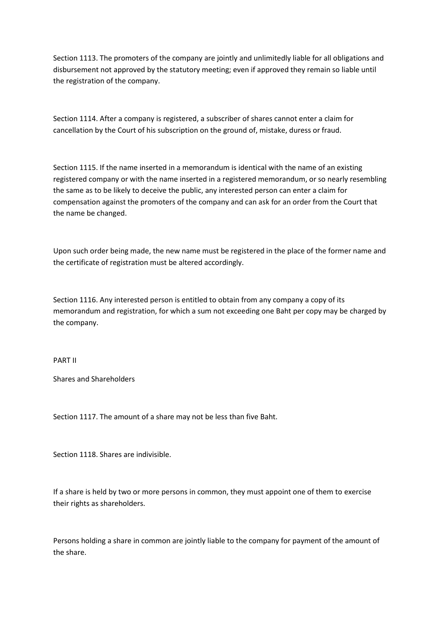Section 1113. The promoters of the company are jointly and unlimitedly liable for all obligations and disbursement not approved by the statutory meeting; even if approved they remain so liable until the registration of the company.

Section 1114. After a company is registered, a subscriber of shares cannot enter a claim for cancellation by the Court of his subscription on the ground of, mistake, duress or fraud.

Section 1115. If the name inserted in a memorandum is identical with the name of an existing registered company or with the name inserted in a registered memorandum, or so nearly resembling the same as to be likely to deceive the public, any interested person can enter a claim for compensation against the promoters of the company and can ask for an order from the Court that the name be changed.

Upon such order being made, the new name must be registered in the place of the former name and the certificate of registration must be altered accordingly.

Section 1116. Any interested person is entitled to obtain from any company a copy of its memorandum and registration, for which a sum not exceeding one Baht per copy may be charged by the company.

PART II

Shares and Shareholders

Section 1117. The amount of a share may not be less than five Baht.

Section 1118. Shares are indivisible.

If a share is held by two or more persons in common, they must appoint one of them to exercise their rights as shareholders.

Persons holding a share in common are jointly liable to the company for payment of the amount of the share.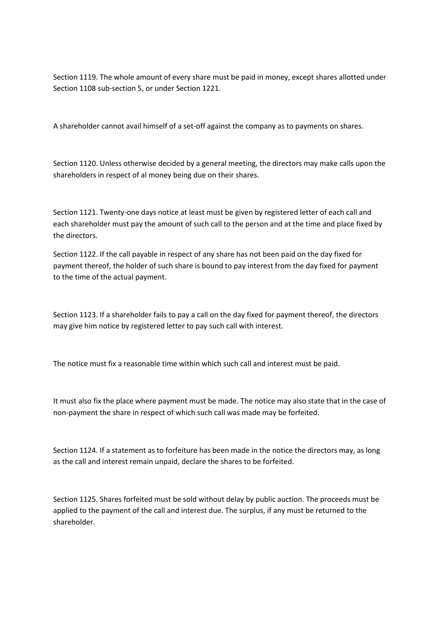Section 1119. The whole amount of every share must be paid in money, except shares allotted under Section 1108 sub-section 5, or under Section 1221.

A shareholder cannot avail himself of a set-off against the company as to payments on shares.

Section 1120. Unless otherwise decided by a general meeting, the directors may make calls upon the shareholders in respect of al money being due on their shares.

Section 1121. Twenty-one days notice at least must be given by registered letter of each call and each shareholder must pay the amount of such call to the person and at the time and place fixed by the directors.

Section 1122. If the call payable in respect of any share has not been paid on the day fixed for payment thereof, the holder of such share is bound to pay interest from the day fixed for payment to the time of the actual payment.

Section 1123. If a shareholder fails to pay a call on the day fixed for payment thereof, the directors may give him notice by registered letter to pay such call with interest.

The notice must fix a reasonable time within which such call and interest must be paid.

It must also fix the place where payment must be made. The notice may also state that in the case of non-payment the share in respect of which such call was made may be forfeited.

Section 1124. If a statement as to forfeiture has been made in the notice the directors may, as long as the call and interest remain unpaid, declare the shares to be forfeited.

Section 1125. Shares forfeited must be sold without delay by public auction. The proceeds must be applied to the payment of the call and interest due. The surplus, if any must be returned to the shareholder.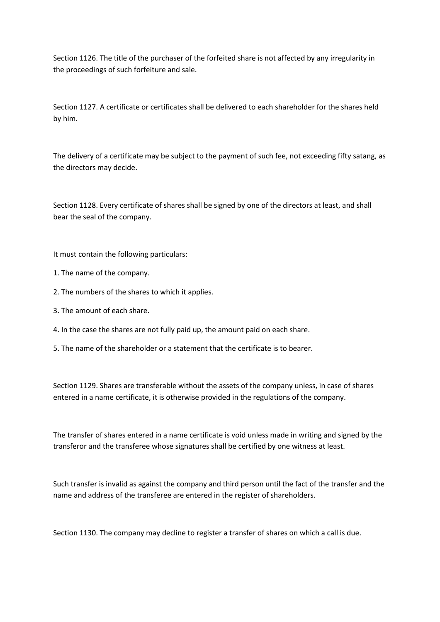Section 1126. The title of the purchaser of the forfeited share is not affected by any irregularity in the proceedings of such forfeiture and sale.

Section 1127. A certificate or certificates shall be delivered to each shareholder for the shares held by him.

The delivery of a certificate may be subject to the payment of such fee, not exceeding fifty satang, as the directors may decide.

Section 1128. Every certificate of shares shall be signed by one of the directors at least, and shall bear the seal of the company.

It must contain the following particulars:

- 1. The name of the company.
- 2. The numbers of the shares to which it applies.
- 3. The amount of each share.
- 4. In the case the shares are not fully paid up, the amount paid on each share.
- 5. The name of the shareholder or a statement that the certificate is to bearer.

Section 1129. Shares are transferable without the assets of the company unless, in case of shares entered in a name certificate, it is otherwise provided in the regulations of the company.

The transfer of shares entered in a name certificate is void unless made in writing and signed by the transferor and the transferee whose signatures shall be certified by one witness at least.

Such transfer is invalid as against the company and third person until the fact of the transfer and the name and address of the transferee are entered in the register of shareholders.

Section 1130. The company may decline to register a transfer of shares on which a call is due.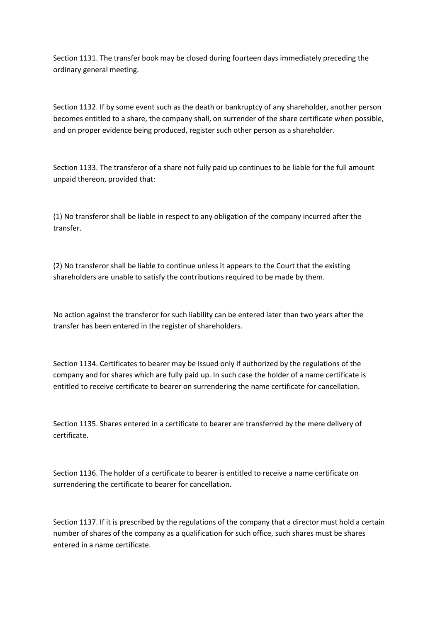Section 1131. The transfer book may be closed during fourteen days immediately preceding the ordinary general meeting.

Section 1132. If by some event such as the death or bankruptcy of any shareholder, another person becomes entitled to a share, the company shall, on surrender of the share certificate when possible, and on proper evidence being produced, register such other person as a shareholder.

Section 1133. The transferor of a share not fully paid up continues to be liable for the full amount unpaid thereon, provided that:

(1) No transferor shall be liable in respect to any obligation of the company incurred after the transfer.

(2) No transferor shall be liable to continue unless it appears to the Court that the existing shareholders are unable to satisfy the contributions required to be made by them.

No action against the transferor for such liability can be entered later than two years after the transfer has been entered in the register of shareholders.

Section 1134. Certificates to bearer may be issued only if authorized by the regulations of the company and for shares which are fully paid up. In such case the holder of a name certificate is entitled to receive certificate to bearer on surrendering the name certificate for cancellation.

Section 1135. Shares entered in a certificate to bearer are transferred by the mere delivery of certificate.

Section 1136. The holder of a certificate to bearer is entitled to receive a name certificate on surrendering the certificate to bearer for cancellation.

Section 1137. If it is prescribed by the regulations of the company that a director must hold a certain number of shares of the company as a qualification for such office, such shares must be shares entered in a name certificate.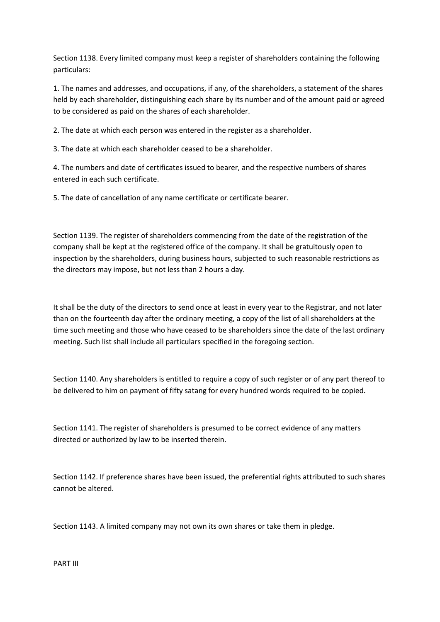Section 1138. Every limited company must keep a register of shareholders containing the following particulars:

1. The names and addresses, and occupations, if any, of the shareholders, a statement of the shares held by each shareholder, distinguishing each share by its number and of the amount paid or agreed to be considered as paid on the shares of each shareholder.

2. The date at which each person was entered in the register as a shareholder.

3. The date at which each shareholder ceased to be a shareholder.

4. The numbers and date of certificates issued to bearer, and the respective numbers of shares entered in each such certificate.

5. The date of cancellation of any name certificate or certificate bearer.

Section 1139. The register of shareholders commencing from the date of the registration of the company shall be kept at the registered office of the company. It shall be gratuitously open to inspection by the shareholders, during business hours, subjected to such reasonable restrictions as the directors may impose, but not less than 2 hours a day.

It shall be the duty of the directors to send once at least in every year to the Registrar, and not later than on the fourteenth day after the ordinary meeting, a copy of the list of all shareholders at the time such meeting and those who have ceased to be shareholders since the date of the last ordinary meeting. Such list shall include all particulars specified in the foregoing section.

Section 1140. Any shareholders is entitled to require a copy of such register or of any part thereof to be delivered to him on payment of fifty satang for every hundred words required to be copied.

Section 1141. The register of shareholders is presumed to be correct evidence of any matters directed or authorized by law to be inserted therein.

Section 1142. If preference shares have been issued, the preferential rights attributed to such shares cannot be altered.

Section 1143. A limited company may not own its own shares or take them in pledge.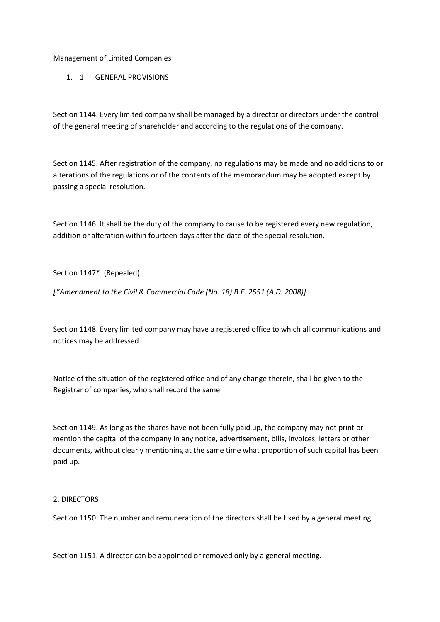Management of Limited Companies

1. 1. GENERAL PROVISIONS

Section 1144. Every limited company shall be managed by a director or directors under the control of the general meeting of shareholder and according to the regulations of the company.

Section 1145. After registration of the company, no regulations may be made and no additions to or alterations of the regulations or of the contents of the memorandum may be adopted except by passing a special resolution.

Section 1146. It shall be the duty of the company to cause to be registered every new regulation, addition or alteration within fourteen days after the date of the special resolution.

Section 1147\*. (Repealed)

*[\*Amendment to the Civil & Commercial Code (No. 18) B.E. 2551 (A.D. 2008)]*

Section 1148. Every limited company may have a registered office to which all communications and notices may be addressed.

Notice of the situation of the registered office and of any change therein, shall be given to the Registrar of companies, who shall record the same.

Section 1149. As long as the shares have not been fully paid up, the company may not print or mention the capital of the company in any notice, advertisement, bills, invoices, letters or other documents, without clearly mentioning at the same time what proportion of such capital has been paid up.

## 2. DIRECTORS

Section 1150. The number and remuneration of the directors shall be fixed by a general meeting.

Section 1151. A director can be appointed or removed only by a general meeting.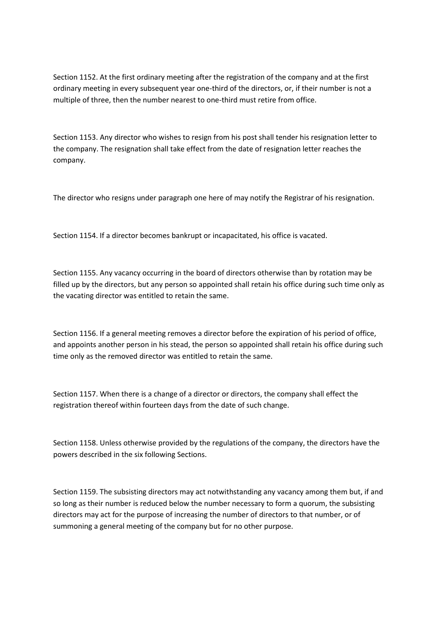Section 1152. At the first ordinary meeting after the registration of the company and at the first ordinary meeting in every subsequent year one-third of the directors, or, if their number is not a multiple of three, then the number nearest to one-third must retire from office.

Section 1153. Any director who wishes to resign from his post shall tender his resignation letter to the company. The resignation shall take effect from the date of resignation letter reaches the company.

The director who resigns under paragraph one here of may notify the Registrar of his resignation.

Section 1154. If a director becomes bankrupt or incapacitated, his office is vacated.

Section 1155. Any vacancy occurring in the board of directors otherwise than by rotation may be filled up by the directors, but any person so appointed shall retain his office during such time only as the vacating director was entitled to retain the same.

Section 1156. If a general meeting removes a director before the expiration of his period of office, and appoints another person in his stead, the person so appointed shall retain his office during such time only as the removed director was entitled to retain the same.

Section 1157. When there is a change of a director or directors, the company shall effect the registration thereof within fourteen days from the date of such change.

Section 1158. Unless otherwise provided by the regulations of the company, the directors have the powers described in the six following Sections.

Section 1159. The subsisting directors may act notwithstanding any vacancy among them but, if and so long as their number is reduced below the number necessary to form a quorum, the subsisting directors may act for the purpose of increasing the number of directors to that number, or of summoning a general meeting of the company but for no other purpose.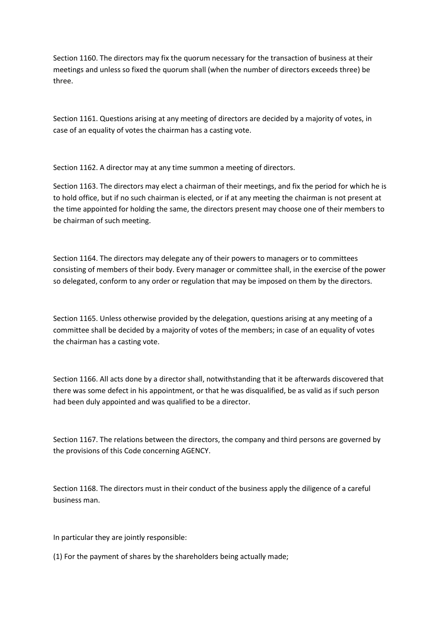Section 1160. The directors may fix the quorum necessary for the transaction of business at their meetings and unless so fixed the quorum shall (when the number of directors exceeds three) be three.

Section 1161. Questions arising at any meeting of directors are decided by a majority of votes, in case of an equality of votes the chairman has a casting vote.

Section 1162. A director may at any time summon a meeting of directors.

Section 1163. The directors may elect a chairman of their meetings, and fix the period for which he is to hold office, but if no such chairman is elected, or if at any meeting the chairman is not present at the time appointed for holding the same, the directors present may choose one of their members to be chairman of such meeting.

Section 1164. The directors may delegate any of their powers to managers or to committees consisting of members of their body. Every manager or committee shall, in the exercise of the power so delegated, conform to any order or regulation that may be imposed on them by the directors.

Section 1165. Unless otherwise provided by the delegation, questions arising at any meeting of a committee shall be decided by a majority of votes of the members; in case of an equality of votes the chairman has a casting vote.

Section 1166. All acts done by a director shall, notwithstanding that it be afterwards discovered that there was some defect in his appointment, or that he was disqualified, be as valid as if such person had been duly appointed and was qualified to be a director.

Section 1167. The relations between the directors, the company and third persons are governed by the provisions of this Code concerning AGENCY.

Section 1168. The directors must in their conduct of the business apply the diligence of a careful business man.

In particular they are jointly responsible:

(1) For the payment of shares by the shareholders being actually made;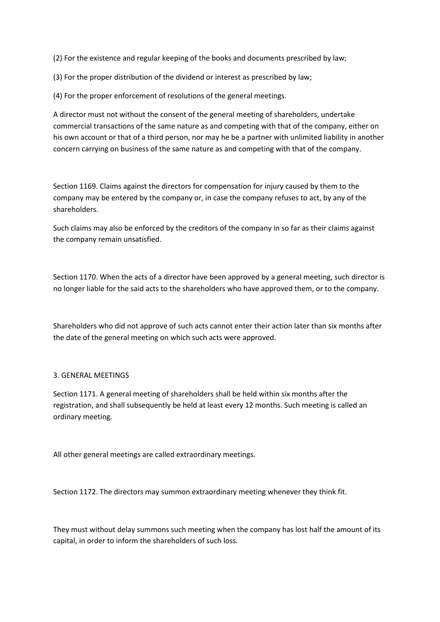(2) For the existence and regular keeping of the books and documents prescribed by law;

(3) For the proper distribution of the dividend or interest as prescribed by law;

(4) For the proper enforcement of resolutions of the general meetings.

A director must not without the consent of the general meeting of shareholders, undertake commercial transactions of the same nature as and competing with that of the company, either on his own account or that of a third person, nor may he be a partner with unlimited liability in another concern carrying on business of the same nature as and competing with that of the company.

Section 1169. Claims against the directors for compensation for injury caused by them to the company may be entered by the company or, in case the company refuses to act, by any of the shareholders.

Such claims may also be enforced by the creditors of the company in so far as their claims against the company remain unsatisfied.

Section 1170. When the acts of a director have been approved by a general meeting, such director is no longer liable for the said acts to the shareholders who have approved them, or to the company.

Shareholders who did not approve of such acts cannot enter their action later than six months after the date of the general meeting on which such acts were approved.

## 3. GENERAL MEETINGS

Section 1171. A general meeting of shareholders shall be held within six months after the registration, and shall subsequently be held at least every 12 months. Such meeting is called an ordinary meeting.

All other general meetings are called extraordinary meetings.

Section 1172. The directors may summon extraordinary meeting whenever they think fit.

They must without delay summons such meeting when the company has lost half the amount of its capital, in order to inform the shareholders of such loss.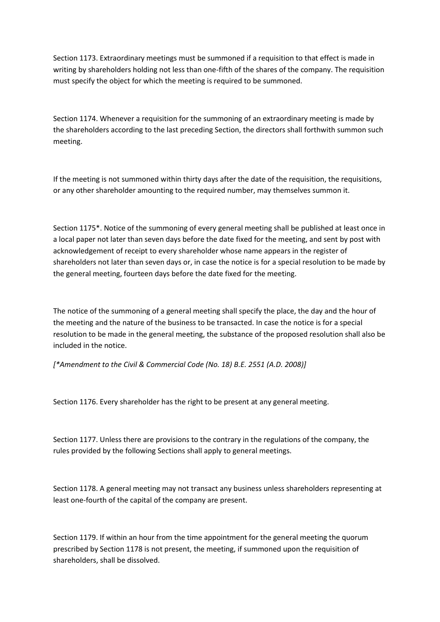Section 1173. Extraordinary meetings must be summoned if a requisition to that effect is made in writing by shareholders holding not less than one-fifth of the shares of the company. The requisition must specify the object for which the meeting is required to be summoned.

Section 1174. Whenever a requisition for the summoning of an extraordinary meeting is made by the shareholders according to the last preceding Section, the directors shall forthwith summon such meeting.

If the meeting is not summoned within thirty days after the date of the requisition, the requisitions, or any other shareholder amounting to the required number, may themselves summon it.

Section 1175\*. Notice of the summoning of every general meeting shall be published at least once in a local paper not later than seven days before the date fixed for the meeting, and sent by post with acknowledgement of receipt to every shareholder whose name appears in the register of shareholders not later than seven days or, in case the notice is for a special resolution to be made by the general meeting, fourteen days before the date fixed for the meeting.

The notice of the summoning of a general meeting shall specify the place, the day and the hour of the meeting and the nature of the business to be transacted. In case the notice is for a special resolution to be made in the general meeting, the substance of the proposed resolution shall also be included in the notice.

*[\*Amendment to the Civil & Commercial Code (No. 18) B.E. 2551 (A.D. 2008)]*

Section 1176. Every shareholder has the right to be present at any general meeting.

Section 1177. Unless there are provisions to the contrary in the regulations of the company, the rules provided by the following Sections shall apply to general meetings.

Section 1178. A general meeting may not transact any business unless shareholders representing at least one-fourth of the capital of the company are present.

Section 1179. If within an hour from the time appointment for the general meeting the quorum prescribed by Section 1178 is not present, the meeting, if summoned upon the requisition of shareholders, shall be dissolved.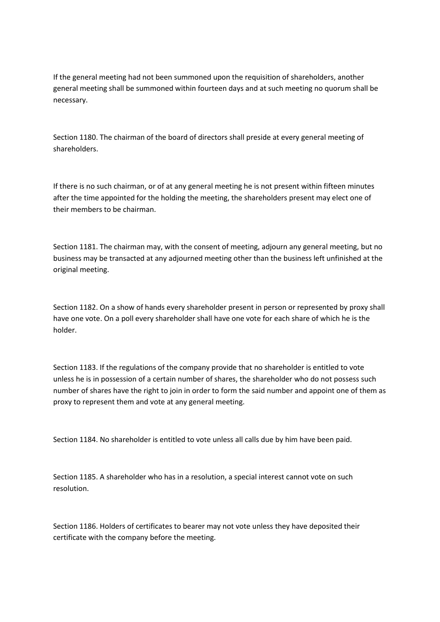If the general meeting had not been summoned upon the requisition of shareholders, another general meeting shall be summoned within fourteen days and at such meeting no quorum shall be necessary.

Section 1180. The chairman of the board of directors shall preside at every general meeting of shareholders.

If there is no such chairman, or of at any general meeting he is not present within fifteen minutes after the time appointed for the holding the meeting, the shareholders present may elect one of their members to be chairman.

Section 1181. The chairman may, with the consent of meeting, adjourn any general meeting, but no business may be transacted at any adjourned meeting other than the business left unfinished at the original meeting.

Section 1182. On a show of hands every shareholder present in person or represented by proxy shall have one vote. On a poll every shareholder shall have one vote for each share of which he is the holder.

Section 1183. If the regulations of the company provide that no shareholder is entitled to vote unless he is in possession of a certain number of shares, the shareholder who do not possess such number of shares have the right to join in order to form the said number and appoint one of them as proxy to represent them and vote at any general meeting.

Section 1184. No shareholder is entitled to vote unless all calls due by him have been paid.

Section 1185. A shareholder who has in a resolution, a special interest cannot vote on such resolution.

Section 1186. Holders of certificates to bearer may not vote unless they have deposited their certificate with the company before the meeting.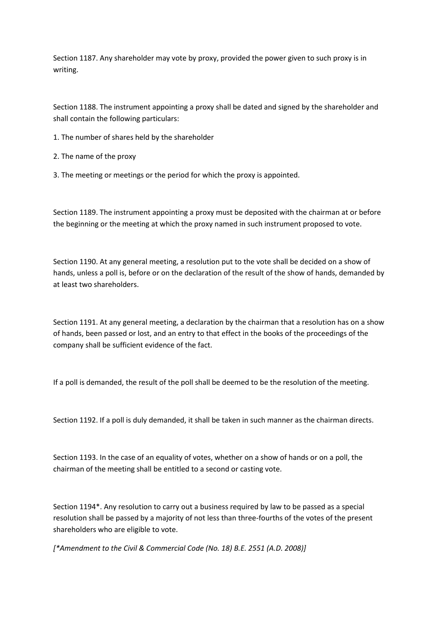Section 1187. Any shareholder may vote by proxy, provided the power given to such proxy is in writing.

Section 1188. The instrument appointing a proxy shall be dated and signed by the shareholder and shall contain the following particulars:

- 1. The number of shares held by the shareholder
- 2. The name of the proxy
- 3. The meeting or meetings or the period for which the proxy is appointed.

Section 1189. The instrument appointing a proxy must be deposited with the chairman at or before the beginning or the meeting at which the proxy named in such instrument proposed to vote.

Section 1190. At any general meeting, a resolution put to the vote shall be decided on a show of hands, unless a poll is, before or on the declaration of the result of the show of hands, demanded by at least two shareholders.

Section 1191. At any general meeting, a declaration by the chairman that a resolution has on a show of hands, been passed or lost, and an entry to that effect in the books of the proceedings of the company shall be sufficient evidence of the fact.

If a poll is demanded, the result of the poll shall be deemed to be the resolution of the meeting.

Section 1192. If a poll is duly demanded, it shall be taken in such manner as the chairman directs.

Section 1193. In the case of an equality of votes, whether on a show of hands or on a poll, the chairman of the meeting shall be entitled to a second or casting vote.

Section 1194\*. Any resolution to carry out a business required by law to be passed as a special resolution shall be passed by a majority of not less than three-fourths of the votes of the present shareholders who are eligible to vote.

*[\*Amendment to the Civil & Commercial Code (No. 18) B.E. 2551 (A.D. 2008)]*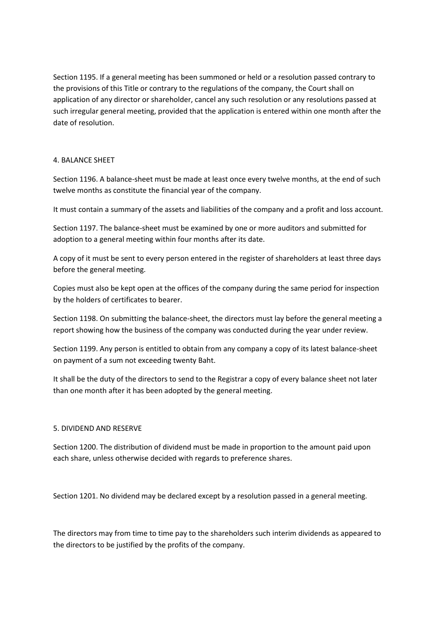Section 1195. If a general meeting has been summoned or held or a resolution passed contrary to the provisions of this Title or contrary to the regulations of the company, the Court shall on application of any director or shareholder, cancel any such resolution or any resolutions passed at such irregular general meeting, provided that the application is entered within one month after the date of resolution.

# 4. BALANCE SHEET

Section 1196. A balance-sheet must be made at least once every twelve months, at the end of such twelve months as constitute the financial year of the company.

It must contain a summary of the assets and liabilities of the company and a profit and loss account.

Section 1197. The balance-sheet must be examined by one or more auditors and submitted for adoption to a general meeting within four months after its date.

A copy of it must be sent to every person entered in the register of shareholders at least three days before the general meeting.

Copies must also be kept open at the offices of the company during the same period for inspection by the holders of certificates to bearer.

Section 1198. On submitting the balance-sheet, the directors must lay before the general meeting a report showing how the business of the company was conducted during the year under review.

Section 1199. Any person is entitled to obtain from any company a copy of its latest balance-sheet on payment of a sum not exceeding twenty Baht.

It shall be the duty of the directors to send to the Registrar a copy of every balance sheet not later than one month after it has been adopted by the general meeting.

## 5. DIVIDEND AND RESERVE

Section 1200. The distribution of dividend must be made in proportion to the amount paid upon each share, unless otherwise decided with regards to preference shares.

Section 1201. No dividend may be declared except by a resolution passed in a general meeting.

The directors may from time to time pay to the shareholders such interim dividends as appeared to the directors to be justified by the profits of the company.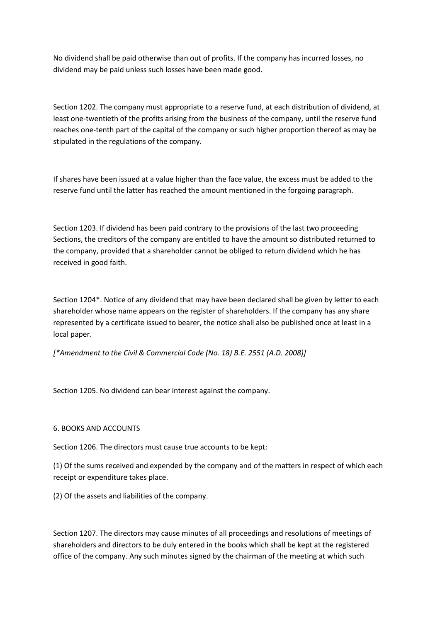No dividend shall be paid otherwise than out of profits. If the company has incurred losses, no dividend may be paid unless such losses have been made good.

Section 1202. The company must appropriate to a reserve fund, at each distribution of dividend, at least one-twentieth of the profits arising from the business of the company, until the reserve fund reaches one-tenth part of the capital of the company or such higher proportion thereof as may be stipulated in the regulations of the company.

If shares have been issued at a value higher than the face value, the excess must be added to the reserve fund until the latter has reached the amount mentioned in the forgoing paragraph.

Section 1203. If dividend has been paid contrary to the provisions of the last two proceeding Sections, the creditors of the company are entitled to have the amount so distributed returned to the company, provided that a shareholder cannot be obliged to return dividend which he has received in good faith.

Section 1204\*. Notice of any dividend that may have been declared shall be given by letter to each shareholder whose name appears on the register of shareholders. If the company has any share represented by a certificate issued to bearer, the notice shall also be published once at least in a local paper.

*[\*Amendment to the Civil & Commercial Code (No. 18) B.E. 2551 (A.D. 2008)]*

Section 1205. No dividend can bear interest against the company.

## 6. BOOKS AND ACCOUNTS

Section 1206. The directors must cause true accounts to be kept:

(1) Of the sums received and expended by the company and of the matters in respect of which each receipt or expenditure takes place.

(2) Of the assets and liabilities of the company.

Section 1207. The directors may cause minutes of all proceedings and resolutions of meetings of shareholders and directors to be duly entered in the books which shall be kept at the registered office of the company. Any such minutes signed by the chairman of the meeting at which such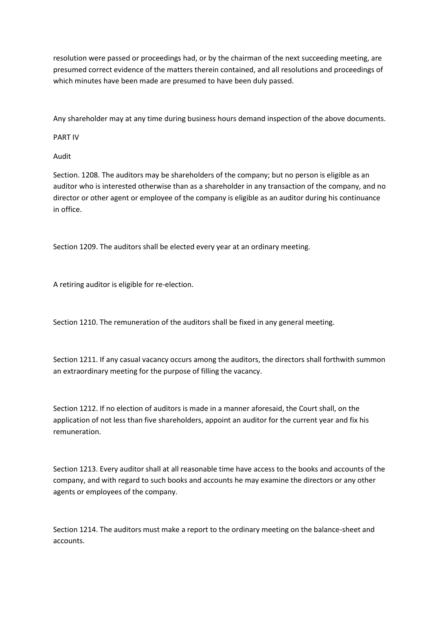resolution were passed or proceedings had, or by the chairman of the next succeeding meeting, are presumed correct evidence of the matters therein contained, and all resolutions and proceedings of which minutes have been made are presumed to have been duly passed.

Any shareholder may at any time during business hours demand inspection of the above documents.

PART IV

Audit

Section. 1208. The auditors may be shareholders of the company; but no person is eligible as an auditor who is interested otherwise than as a shareholder in any transaction of the company, and no director or other agent or employee of the company is eligible as an auditor during his continuance in office.

Section 1209. The auditors shall be elected every year at an ordinary meeting.

A retiring auditor is eligible for re-election.

Section 1210. The remuneration of the auditors shall be fixed in any general meeting.

Section 1211. If any casual vacancy occurs among the auditors, the directors shall forthwith summon an extraordinary meeting for the purpose of filling the vacancy.

Section 1212. If no election of auditors is made in a manner aforesaid, the Court shall, on the application of not less than five shareholders, appoint an auditor for the current year and fix his remuneration.

Section 1213. Every auditor shall at all reasonable time have access to the books and accounts of the company, and with regard to such books and accounts he may examine the directors or any other agents or employees of the company.

Section 1214. The auditors must make a report to the ordinary meeting on the balance-sheet and accounts.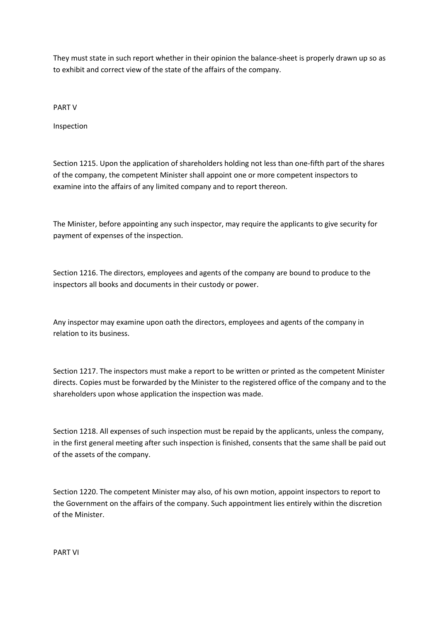They must state in such report whether in their opinion the balance-sheet is properly drawn up so as to exhibit and correct view of the state of the affairs of the company.

PART V

Inspection

Section 1215. Upon the application of shareholders holding not less than one-fifth part of the shares of the company, the competent Minister shall appoint one or more competent inspectors to examine into the affairs of any limited company and to report thereon.

The Minister, before appointing any such inspector, may require the applicants to give security for payment of expenses of the inspection.

Section 1216. The directors, employees and agents of the company are bound to produce to the inspectors all books and documents in their custody or power.

Any inspector may examine upon oath the directors, employees and agents of the company in relation to its business.

Section 1217. The inspectors must make a report to be written or printed as the competent Minister directs. Copies must be forwarded by the Minister to the registered office of the company and to the shareholders upon whose application the inspection was made.

Section 1218. All expenses of such inspection must be repaid by the applicants, unless the company, in the first general meeting after such inspection is finished, consents that the same shall be paid out of the assets of the company.

Section 1220. The competent Minister may also, of his own motion, appoint inspectors to report to the Government on the affairs of the company. Such appointment lies entirely within the discretion of the Minister.

PART VI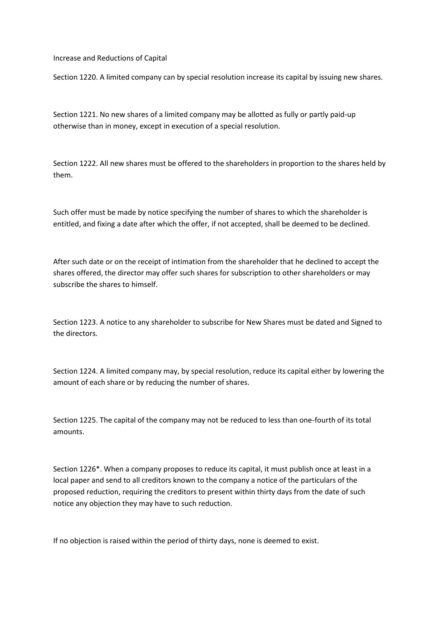Increase and Reductions of Capital

Section 1220. A limited company can by special resolution increase its capital by issuing new shares.

Section 1221. No new shares of a limited company may be allotted as fully or partly paid-up otherwise than in money, except in execution of a special resolution.

Section 1222. All new shares must be offered to the shareholders in proportion to the shares held by them.

Such offer must be made by notice specifying the number of shares to which the shareholder is entitled, and fixing a date after which the offer, if not accepted, shall be deemed to be declined.

After such date or on the receipt of intimation from the shareholder that he declined to accept the shares offered, the director may offer such shares for subscription to other shareholders or may subscribe the shares to himself.

Section 1223. A notice to any shareholder to subscribe for New Shares must be dated and Signed to the directors.

Section 1224. A limited company may, by special resolution, reduce its capital either by lowering the amount of each share or by reducing the number of shares.

Section 1225. The capital of the company may not be reduced to less than one-fourth of its total amounts.

Section 1226\*. When a company proposes to reduce its capital, it must publish once at least in a local paper and send to all creditors known to the company a notice of the particulars of the proposed reduction, requiring the creditors to present within thirty days from the date of such notice any objection they may have to such reduction.

If no objection is raised within the period of thirty days, none is deemed to exist.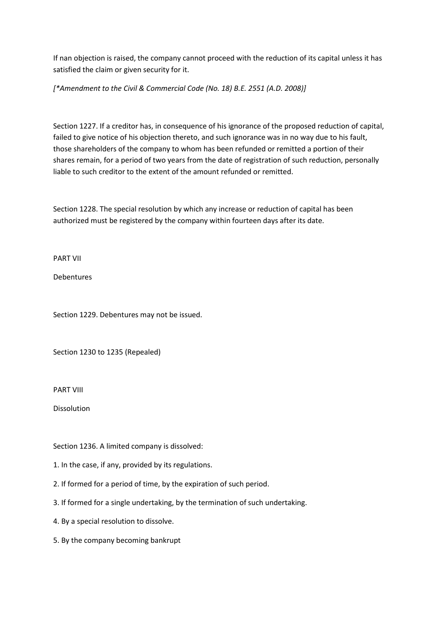If nan objection is raised, the company cannot proceed with the reduction of its capital unless it has satisfied the claim or given security for it.

*[\*Amendment to the Civil & Commercial Code (No. 18) B.E. 2551 (A.D. 2008)]*

Section 1227. If a creditor has, in consequence of his ignorance of the proposed reduction of capital, failed to give notice of his objection thereto, and such ignorance was in no way due to his fault, those shareholders of the company to whom has been refunded or remitted a portion of their shares remain, for a period of two years from the date of registration of such reduction, personally liable to such creditor to the extent of the amount refunded or remitted.

Section 1228. The special resolution by which any increase or reduction of capital has been authorized must be registered by the company within fourteen days after its date.

PART VII

Debentures

Section 1229. Debentures may not be issued.

Section 1230 to 1235 (Repealed)

PART VIII

Dissolution

Section 1236. A limited company is dissolved:

1. In the case, if any, provided by its regulations.

- 2. If formed for a period of time, by the expiration of such period.
- 3. If formed for a single undertaking, by the termination of such undertaking.
- 4. By a special resolution to dissolve.
- 5. By the company becoming bankrupt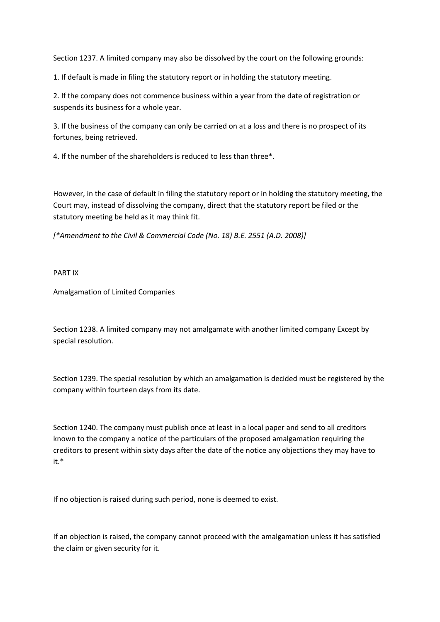Section 1237. A limited company may also be dissolved by the court on the following grounds:

1. If default is made in filing the statutory report or in holding the statutory meeting.

2. If the company does not commence business within a year from the date of registration or suspends its business for a whole year.

3. If the business of the company can only be carried on at a loss and there is no prospect of its fortunes, being retrieved.

4. If the number of the shareholders is reduced to less than three\*.

However, in the case of default in filing the statutory report or in holding the statutory meeting, the Court may, instead of dissolving the company, direct that the statutory report be filed or the statutory meeting be held as it may think fit.

*[\*Amendment to the Civil & Commercial Code (No. 18) B.E. 2551 (A.D. 2008)]*

PART IX

Amalgamation of Limited Companies

Section 1238. A limited company may not amalgamate with another limited company Except by special resolution.

Section 1239. The special resolution by which an amalgamation is decided must be registered by the company within fourteen days from its date.

Section 1240. The company must publish once at least in a local paper and send to all creditors known to the company a notice of the particulars of the proposed amalgamation requiring the creditors to present within sixty days after the date of the notice any objections they may have to it.\*

If no objection is raised during such period, none is deemed to exist.

If an objection is raised, the company cannot proceed with the amalgamation unless it has satisfied the claim or given security for it.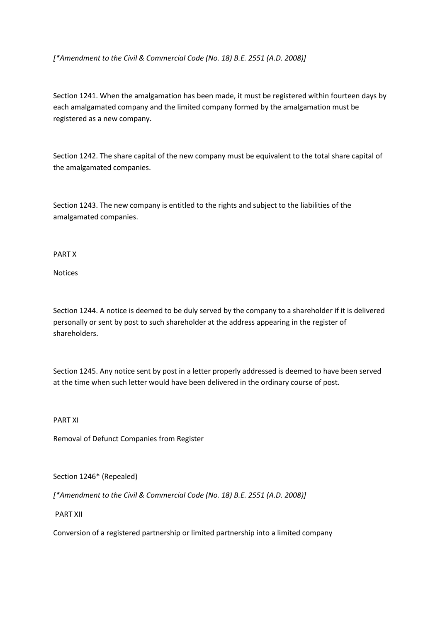*[\*Amendment to the Civil & Commercial Code (No. 18) B.E. 2551 (A.D. 2008)]*

Section 1241. When the amalgamation has been made, it must be registered within fourteen days by each amalgamated company and the limited company formed by the amalgamation must be registered as a new company.

Section 1242. The share capital of the new company must be equivalent to the total share capital of the amalgamated companies.

Section 1243. The new company is entitled to the rights and subject to the liabilities of the amalgamated companies.

PART X

Notices

Section 1244. A notice is deemed to be duly served by the company to a shareholder if it is delivered personally or sent by post to such shareholder at the address appearing in the register of shareholders.

Section 1245. Any notice sent by post in a letter properly addressed is deemed to have been served at the time when such letter would have been delivered in the ordinary course of post.

PART XI

Removal of Defunct Companies from Register

Section 1246\* (Repealed)

*[\*Amendment to the Civil & Commercial Code (No. 18) B.E. 2551 (A.D. 2008)]*

PART XII

Conversion of a registered partnership or limited partnership into a limited company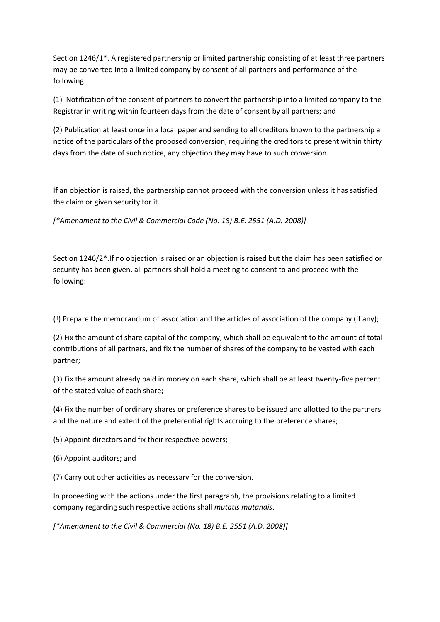Section 1246/1\*. A registered partnership or limited partnership consisting of at least three partners may be converted into a limited company by consent of all partners and performance of the following:

(1) Notification of the consent of partners to convert the partnership into a limited company to the Registrar in writing within fourteen days from the date of consent by all partners; and

(2) Publication at least once in a local paper and sending to all creditors known to the partnership a notice of the particulars of the proposed conversion, requiring the creditors to present within thirty days from the date of such notice, any objection they may have to such conversion.

If an objection is raised, the partnership cannot proceed with the conversion unless it has satisfied the claim or given security for it.

*[\*Amendment to the Civil & Commercial Code (No. 18) B.E. 2551 (A.D. 2008)]*

Section 1246/2\*.If no objection is raised or an objection is raised but the claim has been satisfied or security has been given, all partners shall hold a meeting to consent to and proceed with the following:

(!) Prepare the memorandum of association and the articles of association of the company (if any);

(2) Fix the amount of share capital of the company, which shall be equivalent to the amount of total contributions of all partners, and fix the number of shares of the company to be vested with each partner;

(3) Fix the amount already paid in money on each share, which shall be at least twenty-five percent of the stated value of each share;

(4) Fix the number of ordinary shares or preference shares to be issued and allotted to the partners and the nature and extent of the preferential rights accruing to the preference shares;

(5) Appoint directors and fix their respective powers;

(6) Appoint auditors; and

(7) Carry out other activities as necessary for the conversion.

In proceeding with the actions under the first paragraph, the provisions relating to a limited company regarding such respective actions shall *mutatis mutandis*.

*[\*Amendment to the Civil & Commercial (No. 18) B.E. 2551 (A.D. 2008)]*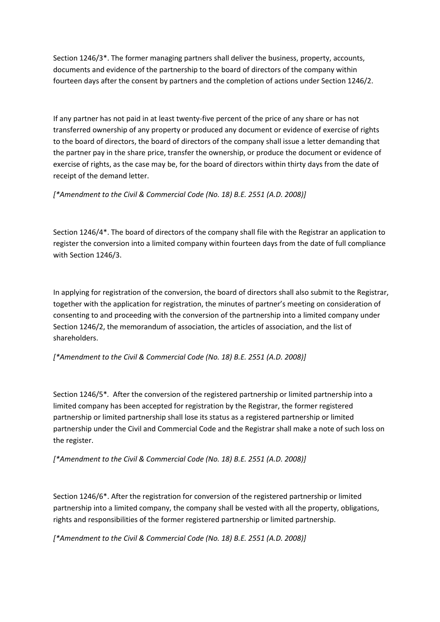Section 1246/3\*. The former managing partners shall deliver the business, property, accounts, documents and evidence of the partnership to the board of directors of the company within fourteen days after the consent by partners and the completion of actions under Section 1246/2.

If any partner has not paid in at least twenty-five percent of the price of any share or has not transferred ownership of any property or produced any document or evidence of exercise of rights to the board of directors, the board of directors of the company shall issue a letter demanding that the partner pay in the share price, transfer the ownership, or produce the document or evidence of exercise of rights, as the case may be, for the board of directors within thirty days from the date of receipt of the demand letter.

*[\*Amendment to the Civil & Commercial Code (No. 18) B.E. 2551 (A.D. 2008)]*

Section 1246/4\*. The board of directors of the company shall file with the Registrar an application to register the conversion into a limited company within fourteen days from the date of full compliance with Section 1246/3.

In applying for registration of the conversion, the board of directors shall also submit to the Registrar, together with the application for registration, the minutes of partner's meeting on consideration of consenting to and proceeding with the conversion of the partnership into a limited company under Section 1246/2, the memorandum of association, the articles of association, and the list of shareholders.

*[\*Amendment to the Civil & Commercial Code (No. 18) B.E. 2551 (A.D. 2008)]*

Section 1246/5\**.* After the conversion of the registered partnership or limited partnership into a limited company has been accepted for registration by the Registrar, the former registered partnership or limited partnership shall lose its status as a registered partnership or limited partnership under the Civil and Commercial Code and the Registrar shall make a note of such loss on the register.

*[\*Amendment to the Civil & Commercial Code (No. 18) B.E. 2551 (A.D. 2008)]*

Section 1246/6\*. After the registration for conversion of the registered partnership or limited partnership into a limited company, the company shall be vested with all the property, obligations, rights and responsibilities of the former registered partnership or limited partnership.

*[\*Amendment to the Civil & Commercial Code (No. 18) B.E. 2551 (A.D. 2008)]*